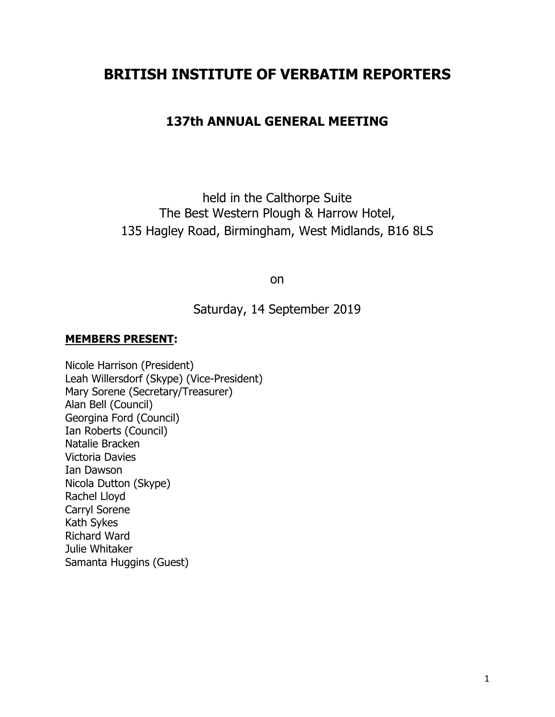# **BRITISH INSTITUTE OF VERBATIM REPORTERS**

## **137th ANNUAL GENERAL MEETING**

held in the Calthorpe Suite The Best Western Plough & Harrow Hotel, 135 Hagley Road, Birmingham, West Midlands, B16 8LS

on

Saturday, 14 September 2019

#### **MEMBERS PRESENT:**

Nicole Harrison (President) Leah Willersdorf (Skype) (Vice-President) Mary Sorene (Secretary/Treasurer) Alan Bell (Council) Georgina Ford (Council) Ian Roberts (Council) Natalie Bracken Victoria Davies Ian Dawson Nicola Dutton (Skype) Rachel Lloyd Carryl Sorene Kath Sykes Richard Ward Julie Whitaker Samanta Huggins (Guest)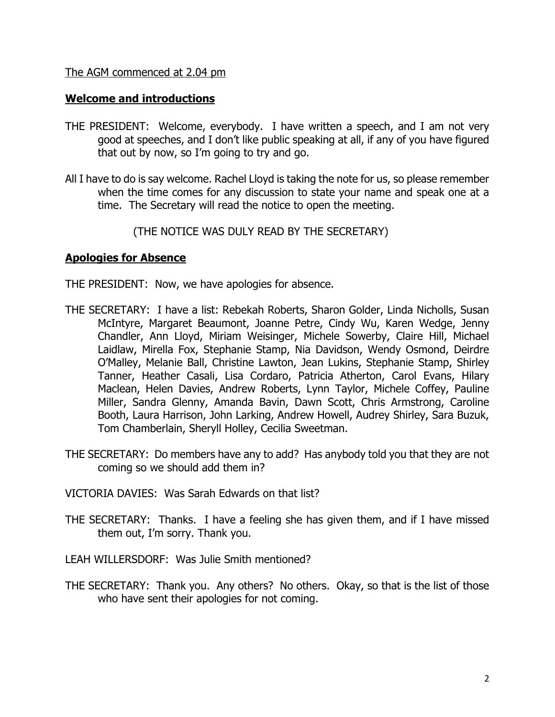#### The AGM commenced at 2.04 pm

#### **Welcome and introductions**

- THE PRESIDENT: Welcome, everybody. I have written a speech, and I am not very good at speeches, and I don't like public speaking at all, if any of you have figured that out by now, so I'm going to try and go.
- All I have to do is say welcome. Rachel Lloyd is taking the note for us, so please remember when the time comes for any discussion to state your name and speak one at a time. The Secretary will read the notice to open the meeting.

(THE NOTICE WAS DULY READ BY THE SECRETARY)

## **Apologies for Absence**

- THE PRESIDENT: Now, we have apologies for absence.
- THE SECRETARY: I have a list: Rebekah Roberts, Sharon Golder, Linda Nicholls, Susan McIntyre, Margaret Beaumont, Joanne Petre, Cindy Wu, Karen Wedge, Jenny Chandler, Ann Lloyd, Miriam Weisinger, Michele Sowerby, Claire Hill, Michael Laidlaw, Mirella Fox, Stephanie Stamp, Nia Davidson, Wendy Osmond, Deirdre O'Malley, Melanie Ball, Christine Lawton, Jean Lukins, Stephanie Stamp, Shirley Tanner, Heather Casali, Lisa Cordaro, Patricia Atherton, Carol Evans, Hilary Maclean, Helen Davies, Andrew Roberts, Lynn Taylor, Michele Coffey, Pauline Miller, Sandra Glenny, Amanda Bavin, Dawn Scott, Chris Armstrong, Caroline Booth, Laura Harrison, John Larking, Andrew Howell, Audrey Shirley, Sara Buzuk, Tom Chamberlain, Sheryll Holley, Cecilia Sweetman.
- THE SECRETARY: Do members have any to add? Has anybody told you that they are not coming so we should add them in?
- VICTORIA DAVIES: Was Sarah Edwards on that list?
- THE SECRETARY: Thanks. I have a feeling she has given them, and if I have missed them out, I'm sorry. Thank you.
- LEAH WILLERSDORF: Was Julie Smith mentioned?
- THE SECRETARY: Thank you. Any others? No others. Okay, so that is the list of those who have sent their apologies for not coming.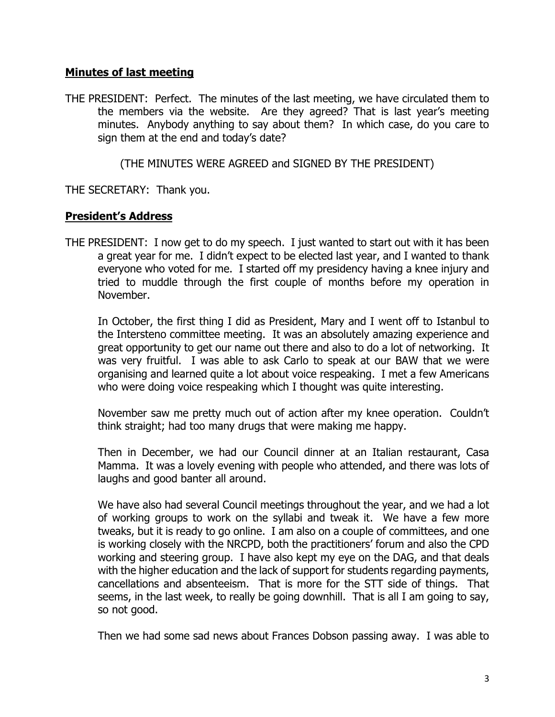## **Minutes of last meeting**

THE PRESIDENT: Perfect. The minutes of the last meeting, we have circulated them to the members via the website. Are they agreed? That is last year's meeting minutes. Anybody anything to say about them? In which case, do you care to sign them at the end and today's date?

(THE MINUTES WERE AGREED and SIGNED BY THE PRESIDENT)

THE SECRETARY: Thank you.

## **President's Address**

THE PRESIDENT: I now get to do my speech. I just wanted to start out with it has been a great year for me. I didn't expect to be elected last year, and I wanted to thank everyone who voted for me. I started off my presidency having a knee injury and tried to muddle through the first couple of months before my operation in November.

In October, the first thing I did as President, Mary and I went off to Istanbul to the Intersteno committee meeting. It was an absolutely amazing experience and great opportunity to get our name out there and also to do a lot of networking. It was very fruitful. I was able to ask Carlo to speak at our BAW that we were organising and learned quite a lot about voice respeaking. I met a few Americans who were doing voice respeaking which I thought was quite interesting.

November saw me pretty much out of action after my knee operation. Couldn't think straight; had too many drugs that were making me happy.

Then in December, we had our Council dinner at an Italian restaurant, Casa Mamma. It was a lovely evening with people who attended, and there was lots of laughs and good banter all around.

We have also had several Council meetings throughout the year, and we had a lot of working groups to work on the syllabi and tweak it. We have a few more tweaks, but it is ready to go online. I am also on a couple of committees, and one is working closely with the NRCPD, both the practitioners' forum and also the CPD working and steering group. I have also kept my eye on the DAG, and that deals with the higher education and the lack of support for students regarding payments, cancellations and absenteeism. That is more for the STT side of things. That seems, in the last week, to really be going downhill. That is all I am going to say, so not good.

Then we had some sad news about Frances Dobson passing away. I was able to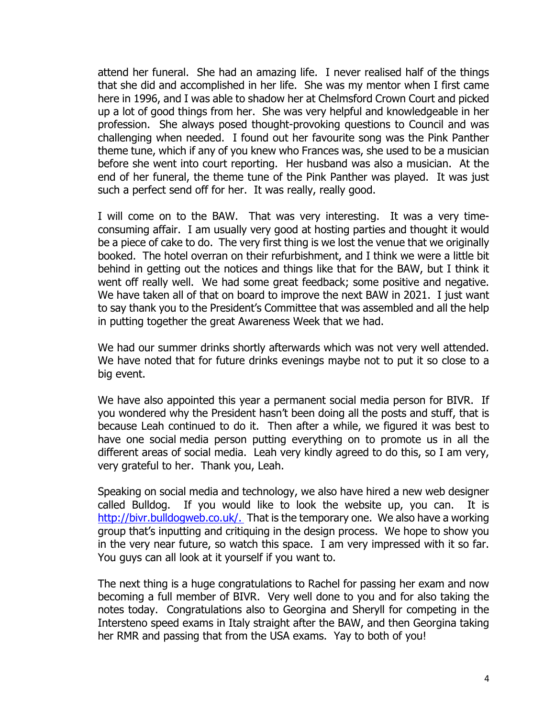attend her funeral. She had an amazing life. I never realised half of the things that she did and accomplished in her life. She was my mentor when I first came here in 1996, and I was able to shadow her at Chelmsford Crown Court and picked up a lot of good things from her. She was very helpful and knowledgeable in her profession. She always posed thought-provoking questions to Council and was challenging when needed. I found out her favourite song was the Pink Panther theme tune, which if any of you knew who Frances was, she used to be a musician before she went into court reporting. Her husband was also a musician. At the end of her funeral, the theme tune of the Pink Panther was played. It was just such a perfect send off for her. It was really, really good.

I will come on to the BAW. That was very interesting. It was a very timeconsuming affair. I am usually very good at hosting parties and thought it would be a piece of cake to do. The very first thing is we lost the venue that we originally booked. The hotel overran on their refurbishment, and I think we were a little bit behind in getting out the notices and things like that for the BAW, but I think it went off really well. We had some great feedback; some positive and negative. We have taken all of that on board to improve the next BAW in 2021. I just want to say thank you to the President's Committee that was assembled and all the help in putting together the great Awareness Week that we had.

We had our summer drinks shortly afterwards which was not very well attended. We have noted that for future drinks evenings maybe not to put it so close to a big event.

We have also appointed this year a permanent social media person for BIVR. If you wondered why the President hasn't been doing all the posts and stuff, that is because Leah continued to do it. Then after a while, we figured it was best to have one social media person putting everything on to promote us in all the different areas of social media. Leah very kindly agreed to do this, so I am very, very grateful to her. Thank you, Leah.

Speaking on social media and technology, we also have hired a new web designer called Bulldog. If you would like to look the website up, you can. It is http://bivr.bulldogweb.co.uk/. That is the temporary one. We also have a working group that's inputting and critiquing in the design process. We hope to show you in the very near future, so watch this space. I am very impressed with it so far. You guys can all look at it yourself if you want to.

The next thing is a huge congratulations to Rachel for passing her exam and now becoming a full member of BIVR. Very well done to you and for also taking the notes today. Congratulations also to Georgina and Sheryll for competing in the Intersteno speed exams in Italy straight after the BAW, and then Georgina taking her RMR and passing that from the USA exams. Yay to both of you!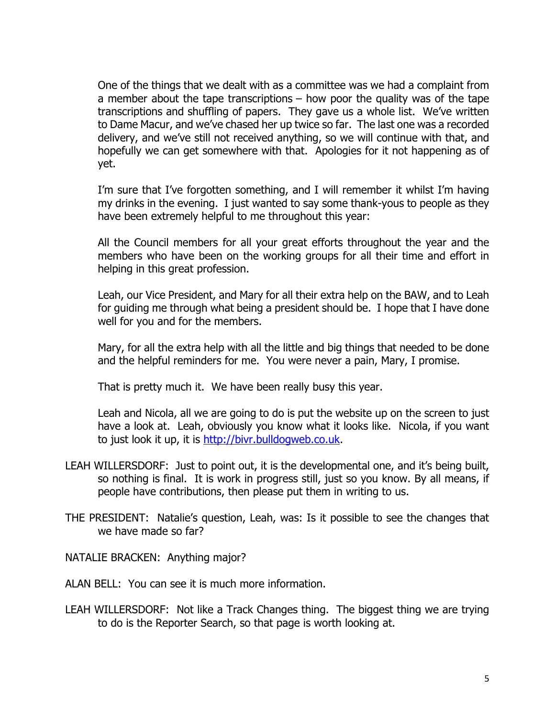One of the things that we dealt with as a committee was we had a complaint from a member about the tape transcriptions – how poor the quality was of the tape transcriptions and shuffling of papers. They gave us a whole list. We've written to Dame Macur, and we've chased her up twice so far. The last one was a recorded delivery, and we've still not received anything, so we will continue with that, and hopefully we can get somewhere with that. Apologies for it not happening as of yet.

I'm sure that I've forgotten something, and I will remember it whilst I'm having my drinks in the evening. I just wanted to say some thank-yous to people as they have been extremely helpful to me throughout this year:

All the Council members for all your great efforts throughout the year and the members who have been on the working groups for all their time and effort in helping in this great profession.

Leah, our Vice President, and Mary for all their extra help on the BAW, and to Leah for guiding me through what being a president should be. I hope that I have done well for you and for the members.

Mary, for all the extra help with all the little and big things that needed to be done and the helpful reminders for me. You were never a pain, Mary, I promise.

That is pretty much it. We have been really busy this year.

Leah and Nicola, all we are going to do is put the website up on the screen to just have a look at. Leah, obviously you know what it looks like. Nicola, if you want to just look it up, it is http://bivr.bulldogweb.co.uk.

LEAH WILLERSDORF: Just to point out, it is the developmental one, and it's being built, so nothing is final. It is work in progress still, just so you know. By all means, if people have contributions, then please put them in writing to us.

THE PRESIDENT: Natalie's question, Leah, was: Is it possible to see the changes that we have made so far?

NATALIE BRACKEN: Anything major?

ALAN BELL: You can see it is much more information.

LEAH WILLERSDORF: Not like a Track Changes thing. The biggest thing we are trying to do is the Reporter Search, so that page is worth looking at.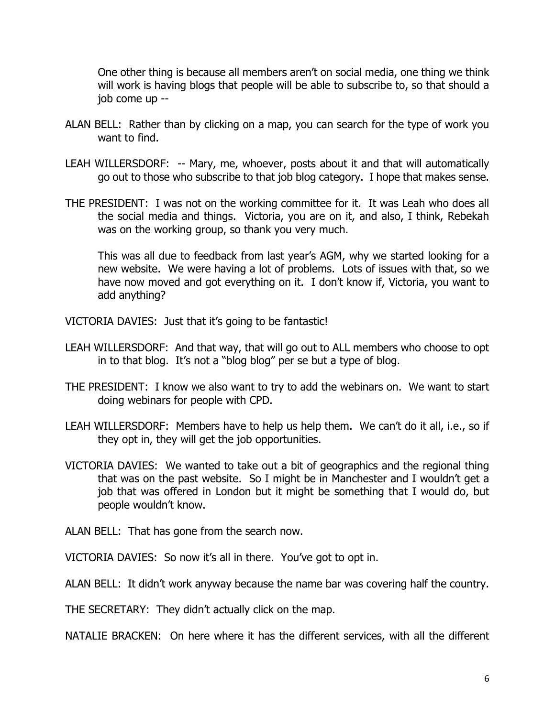One other thing is because all members aren't on social media, one thing we think will work is having blogs that people will be able to subscribe to, so that should a job come up --

- ALAN BELL: Rather than by clicking on a map, you can search for the type of work you want to find.
- LEAH WILLERSDORF: -- Mary, me, whoever, posts about it and that will automatically go out to those who subscribe to that job blog category. I hope that makes sense.
- THE PRESIDENT: I was not on the working committee for it. It was Leah who does all the social media and things. Victoria, you are on it, and also, I think, Rebekah was on the working group, so thank you very much.

This was all due to feedback from last year's AGM, why we started looking for a new website. We were having a lot of problems. Lots of issues with that, so we have now moved and got everything on it. I don't know if, Victoria, you want to add anything?

VICTORIA DAVIES: Just that it's going to be fantastic!

- LEAH WILLERSDORF: And that way, that will go out to ALL members who choose to opt in to that blog. It's not a "blog blog" per se but a type of blog.
- THE PRESIDENT: I know we also want to try to add the webinars on. We want to start doing webinars for people with CPD.
- LEAH WILLERSDORF: Members have to help us help them. We can't do it all, i.e., so if they opt in, they will get the job opportunities.
- VICTORIA DAVIES: We wanted to take out a bit of geographics and the regional thing that was on the past website. So I might be in Manchester and I wouldn't get a job that was offered in London but it might be something that I would do, but people wouldn't know.
- ALAN BELL: That has gone from the search now.

VICTORIA DAVIES: So now it's all in there. You've got to opt in.

ALAN BELL: It didn't work anyway because the name bar was covering half the country.

THE SECRETARY: They didn't actually click on the map.

NATALIE BRACKEN: On here where it has the different services, with all the different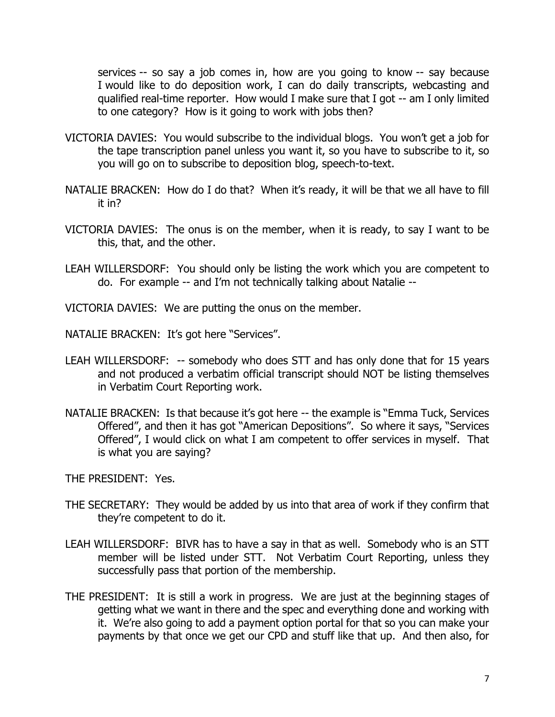services -- so say a job comes in, how are you going to know -- say because I would like to do deposition work, I can do daily transcripts, webcasting and qualified real-time reporter. How would I make sure that I got -- am I only limited to one category? How is it going to work with jobs then?

- VICTORIA DAVIES: You would subscribe to the individual blogs. You won't get a job for the tape transcription panel unless you want it, so you have to subscribe to it, so you will go on to subscribe to deposition blog, speech-to-text.
- NATALIE BRACKEN: How do I do that? When it's ready, it will be that we all have to fill it in?
- VICTORIA DAVIES: The onus is on the member, when it is ready, to say I want to be this, that, and the other.
- LEAH WILLERSDORF: You should only be listing the work which you are competent to do. For example -- and I'm not technically talking about Natalie --
- VICTORIA DAVIES: We are putting the onus on the member.
- NATALIE BRACKEN: It's got here "Services".
- LEAH WILLERSDORF: -- somebody who does STT and has only done that for 15 years and not produced a verbatim official transcript should NOT be listing themselves in Verbatim Court Reporting work.
- NATALIE BRACKEN: Is that because it's got here -- the example is "Emma Tuck, Services Offered", and then it has got "American Depositions". So where it says, "Services Offered", I would click on what I am competent to offer services in myself. That is what you are saying?

THE PRESIDENT: Yes.

- THE SECRETARY: They would be added by us into that area of work if they confirm that they're competent to do it.
- LEAH WILLERSDORF: BIVR has to have a say in that as well. Somebody who is an STT member will be listed under STT. Not Verbatim Court Reporting, unless they successfully pass that portion of the membership.
- THE PRESIDENT: It is still a work in progress. We are just at the beginning stages of getting what we want in there and the spec and everything done and working with it. We're also going to add a payment option portal for that so you can make your payments by that once we get our CPD and stuff like that up. And then also, for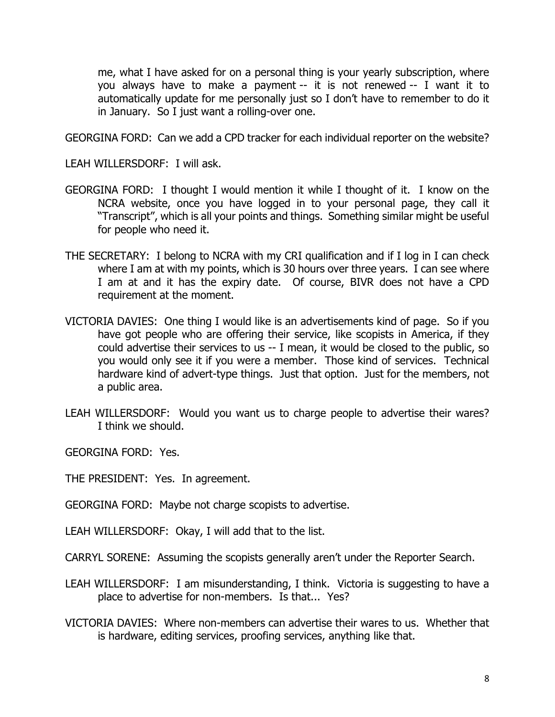me, what I have asked for on a personal thing is your yearly subscription, where you always have to make a payment -- it is not renewed -- I want it to automatically update for me personally just so I don't have to remember to do it in January. So I just want a rolling-over one.

GEORGINA FORD: Can we add a CPD tracker for each individual reporter on the website?

LEAH WILLERSDORF: I will ask.

- GEORGINA FORD: I thought I would mention it while I thought of it. I know on the NCRA website, once you have logged in to your personal page, they call it "Transcript", which is all your points and things. Something similar might be useful for people who need it.
- THE SECRETARY: I belong to NCRA with my CRI qualification and if I log in I can check where I am at with my points, which is 30 hours over three years. I can see where I am at and it has the expiry date. Of course, BIVR does not have a CPD requirement at the moment.
- VICTORIA DAVIES: One thing I would like is an advertisements kind of page. So if you have got people who are offering their service, like scopists in America, if they could advertise their services to us -- I mean, it would be closed to the public, so you would only see it if you were a member. Those kind of services. Technical hardware kind of advert-type things. Just that option. Just for the members, not a public area.
- LEAH WILLERSDORF: Would you want us to charge people to advertise their wares? I think we should.

GEORGINA FORD: Yes.

THE PRESIDENT: Yes. In agreement.

GEORGINA FORD: Maybe not charge scopists to advertise.

LEAH WILLERSDORF: Okay, I will add that to the list.

CARRYL SORENE: Assuming the scopists generally aren't under the Reporter Search.

- LEAH WILLERSDORF: I am misunderstanding, I think. Victoria is suggesting to have a place to advertise for non-members. Is that... Yes?
- VICTORIA DAVIES: Where non-members can advertise their wares to us. Whether that is hardware, editing services, proofing services, anything like that.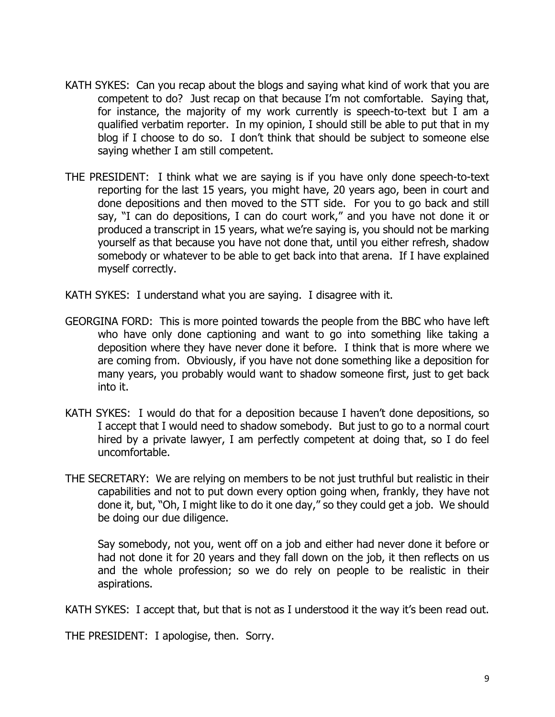- KATH SYKES: Can you recap about the blogs and saying what kind of work that you are competent to do? Just recap on that because I'm not comfortable. Saying that, for instance, the majority of my work currently is speech-to-text but I am a qualified verbatim reporter. In my opinion, I should still be able to put that in my blog if I choose to do so. I don't think that should be subject to someone else saying whether I am still competent.
- THE PRESIDENT: I think what we are saying is if you have only done speech-to-text reporting for the last 15 years, you might have, 20 years ago, been in court and done depositions and then moved to the STT side. For you to go back and still say, "I can do depositions, I can do court work," and you have not done it or produced a transcript in 15 years, what we're saying is, you should not be marking yourself as that because you have not done that, until you either refresh, shadow somebody or whatever to be able to get back into that arena. If I have explained myself correctly.
- KATH SYKES: I understand what you are saying. I disagree with it.
- GEORGINA FORD: This is more pointed towards the people from the BBC who have left who have only done captioning and want to go into something like taking a deposition where they have never done it before. I think that is more where we are coming from. Obviously, if you have not done something like a deposition for many years, you probably would want to shadow someone first, just to get back into it.
- KATH SYKES: I would do that for a deposition because I haven't done depositions, so I accept that I would need to shadow somebody. But just to go to a normal court hired by a private lawyer, I am perfectly competent at doing that, so I do feel uncomfortable.
- THE SECRETARY: We are relying on members to be not just truthful but realistic in their capabilities and not to put down every option going when, frankly, they have not done it, but, "Oh, I might like to do it one day," so they could get a job. We should be doing our due diligence.

Say somebody, not you, went off on a job and either had never done it before or had not done it for 20 years and they fall down on the job, it then reflects on us and the whole profession; so we do rely on people to be realistic in their aspirations.

KATH SYKES: I accept that, but that is not as I understood it the way it's been read out.

THE PRESIDENT: I apologise, then. Sorry.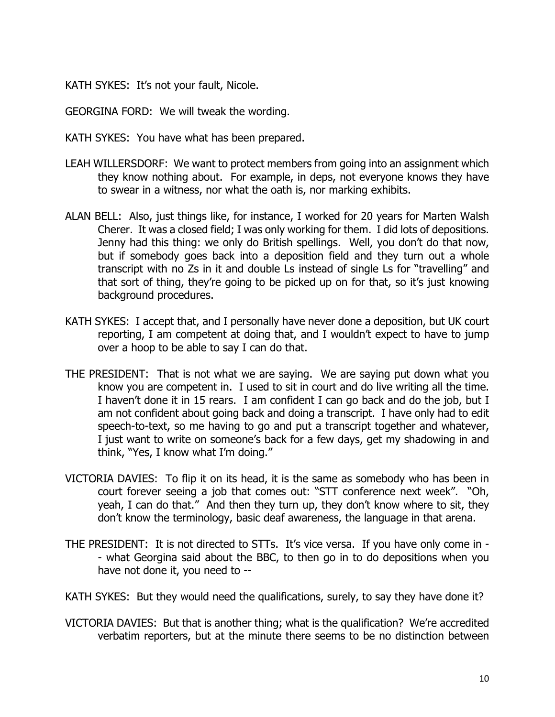KATH SYKES: It's not your fault, Nicole.

GEORGINA FORD: We will tweak the wording.

KATH SYKES: You have what has been prepared.

- LEAH WILLERSDORF: We want to protect members from going into an assignment which they know nothing about. For example, in deps, not everyone knows they have to swear in a witness, nor what the oath is, nor marking exhibits.
- ALAN BELL: Also, just things like, for instance, I worked for 20 years for Marten Walsh Cherer. It was a closed field; I was only working for them. I did lots of depositions. Jenny had this thing: we only do British spellings. Well, you don't do that now, but if somebody goes back into a deposition field and they turn out a whole transcript with no Zs in it and double Ls instead of single Ls for "travelling" and that sort of thing, they're going to be picked up on for that, so it's just knowing background procedures.
- KATH SYKES: I accept that, and I personally have never done a deposition, but UK court reporting, I am competent at doing that, and I wouldn't expect to have to jump over a hoop to be able to say I can do that.
- THE PRESIDENT: That is not what we are saying. We are saying put down what you know you are competent in. I used to sit in court and do live writing all the time. I haven't done it in 15 rears. I am confident I can go back and do the job, but I am not confident about going back and doing a transcript. I have only had to edit speech-to-text, so me having to go and put a transcript together and whatever, I just want to write on someone's back for a few days, get my shadowing in and think, "Yes, I know what I'm doing."
- VICTORIA DAVIES: To flip it on its head, it is the same as somebody who has been in court forever seeing a job that comes out: "STT conference next week". "Oh, yeah, I can do that." And then they turn up, they don't know where to sit, they don't know the terminology, basic deaf awareness, the language in that arena.
- THE PRESIDENT: It is not directed to STTs. It's vice versa. If you have only come in - what Georgina said about the BBC, to then go in to do depositions when you have not done it, you need to --
- KATH SYKES: But they would need the qualifications, surely, to say they have done it?
- VICTORIA DAVIES: But that is another thing; what is the qualification? We're accredited verbatim reporters, but at the minute there seems to be no distinction between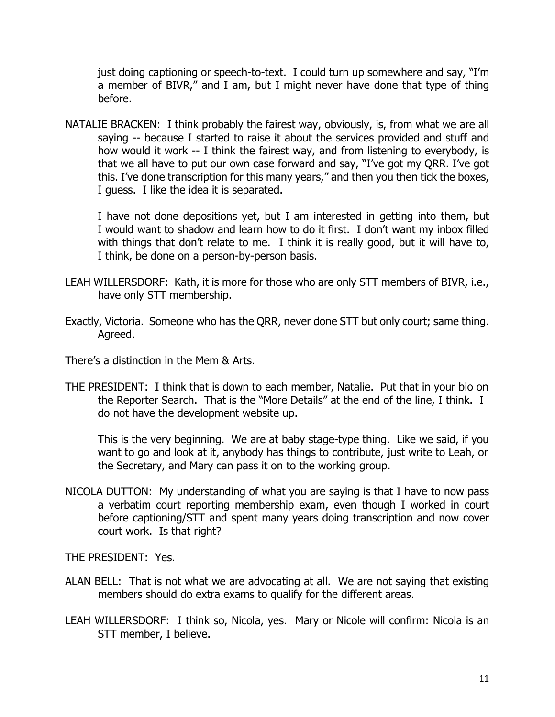just doing captioning or speech-to-text. I could turn up somewhere and say, "I'm a member of BIVR," and I am, but I might never have done that type of thing before.

NATALIE BRACKEN: I think probably the fairest way, obviously, is, from what we are all saying -- because I started to raise it about the services provided and stuff and how would it work -- I think the fairest way, and from listening to everybody, is that we all have to put our own case forward and say, "I've got my QRR. I've got this. I've done transcription for this many years," and then you then tick the boxes, I guess. I like the idea it is separated.

I have not done depositions yet, but I am interested in getting into them, but I would want to shadow and learn how to do it first. I don't want my inbox filled with things that don't relate to me. I think it is really good, but it will have to, I think, be done on a person-by-person basis.

- LEAH WILLERSDORF: Kath, it is more for those who are only STT members of BIVR, i.e., have only STT membership.
- Exactly, Victoria. Someone who has the QRR, never done STT but only court; same thing. Agreed.

There's a distinction in the Mem & Arts.

THE PRESIDENT: I think that is down to each member, Natalie. Put that in your bio on the Reporter Search. That is the "More Details" at the end of the line, I think. I do not have the development website up.

This is the very beginning. We are at baby stage-type thing. Like we said, if you want to go and look at it, anybody has things to contribute, just write to Leah, or the Secretary, and Mary can pass it on to the working group.

NICOLA DUTTON: My understanding of what you are saying is that I have to now pass a verbatim court reporting membership exam, even though I worked in court before captioning/STT and spent many years doing transcription and now cover court work. Is that right?

THE PRESIDENT: Yes.

- ALAN BELL: That is not what we are advocating at all. We are not saying that existing members should do extra exams to qualify for the different areas.
- LEAH WILLERSDORF: I think so, Nicola, yes. Mary or Nicole will confirm: Nicola is an STT member, I believe.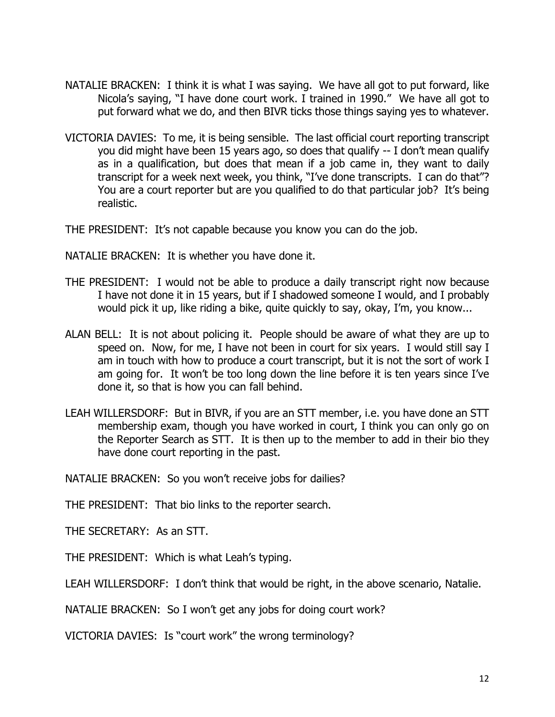- NATALIE BRACKEN: I think it is what I was saying. We have all got to put forward, like Nicola's saying, "I have done court work. I trained in 1990." We have all got to put forward what we do, and then BIVR ticks those things saying yes to whatever.
- VICTORIA DAVIES: To me, it is being sensible. The last official court reporting transcript you did might have been 15 years ago, so does that qualify -- I don't mean qualify as in a qualification, but does that mean if a job came in, they want to daily transcript for a week next week, you think, "I've done transcripts. I can do that"? You are a court reporter but are you qualified to do that particular job? It's being realistic.

THE PRESIDENT: It's not capable because you know you can do the job.

NATALIE BRACKEN: It is whether you have done it.

- THE PRESIDENT: I would not be able to produce a daily transcript right now because I have not done it in 15 years, but if I shadowed someone I would, and I probably would pick it up, like riding a bike, quite quickly to say, okay, I'm, you know...
- ALAN BELL: It is not about policing it. People should be aware of what they are up to speed on. Now, for me, I have not been in court for six years. I would still say I am in touch with how to produce a court transcript, but it is not the sort of work I am going for. It won't be too long down the line before it is ten years since I've done it, so that is how you can fall behind.
- LEAH WILLERSDORF: But in BIVR, if you are an STT member, i.e. you have done an STT membership exam, though you have worked in court, I think you can only go on the Reporter Search as STT. It is then up to the member to add in their bio they have done court reporting in the past.

NATALIE BRACKEN: So you won't receive jobs for dailies?

THE PRESIDENT: That bio links to the reporter search.

THE SECRETARY: As an STT.

THE PRESIDENT: Which is what Leah's typing.

LEAH WILLERSDORF: I don't think that would be right, in the above scenario, Natalie.

NATALIE BRACKEN: So I won't get any jobs for doing court work?

VICTORIA DAVIES: Is "court work" the wrong terminology?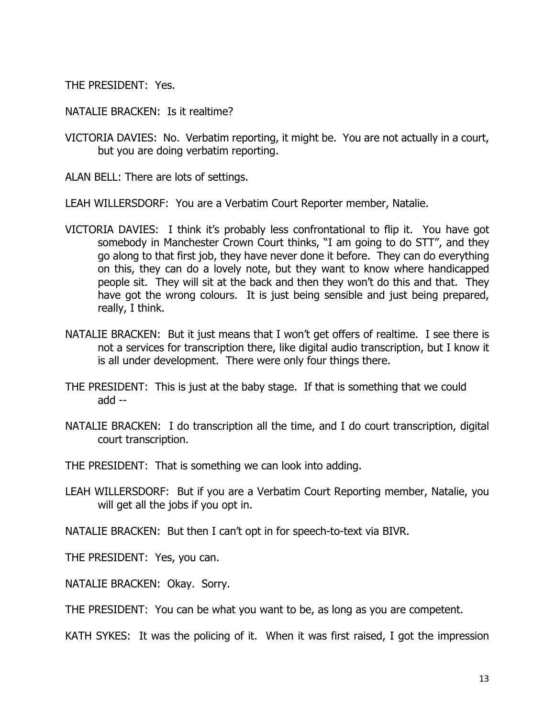THE PRESIDENT: Yes.

NATALIE BRACKEN: Is it realtime?

VICTORIA DAVIES: No. Verbatim reporting, it might be. You are not actually in a court, but you are doing verbatim reporting.

ALAN BELL: There are lots of settings.

LEAH WILLERSDORF: You are a Verbatim Court Reporter member, Natalie.

- VICTORIA DAVIES: I think it's probably less confrontational to flip it. You have got somebody in Manchester Crown Court thinks, "I am going to do STT", and they go along to that first job, they have never done it before. They can do everything on this, they can do a lovely note, but they want to know where handicapped people sit. They will sit at the back and then they won't do this and that. They have got the wrong colours. It is just being sensible and just being prepared, really, I think.
- NATALIE BRACKEN: But it just means that I won't get offers of realtime. I see there is not a services for transcription there, like digital audio transcription, but I know it is all under development. There were only four things there.
- THE PRESIDENT: This is just at the baby stage. If that is something that we could add --
- NATALIE BRACKEN: I do transcription all the time, and I do court transcription, digital court transcription.

THE PRESIDENT: That is something we can look into adding.

LEAH WILLERSDORF: But if you are a Verbatim Court Reporting member, Natalie, you will get all the jobs if you opt in.

NATALIE BRACKEN: But then I can't opt in for speech-to-text via BIVR.

THE PRESIDENT: Yes, you can.

NATALIE BRACKEN: Okay. Sorry.

THE PRESIDENT: You can be what you want to be, as long as you are competent.

KATH SYKES: It was the policing of it. When it was first raised, I got the impression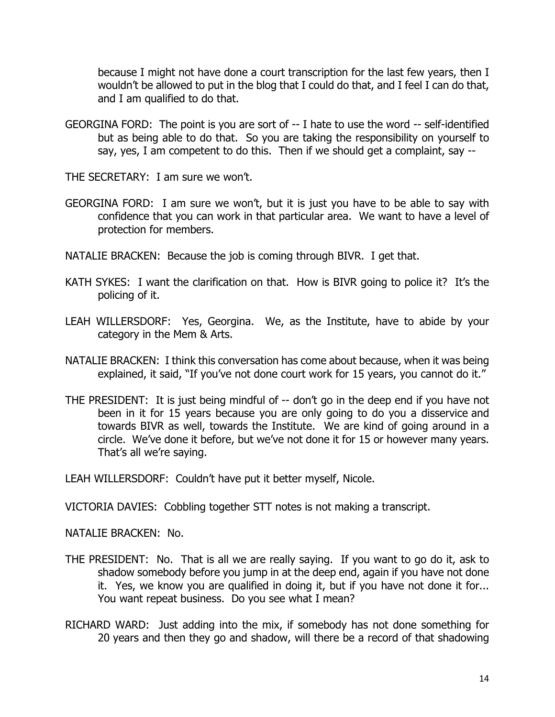because I might not have done a court transcription for the last few years, then I wouldn't be allowed to put in the blog that I could do that, and I feel I can do that, and I am qualified to do that.

GEORGINA FORD: The point is you are sort of -- I hate to use the word -- self-identified but as being able to do that. So you are taking the responsibility on yourself to say, yes, I am competent to do this. Then if we should get a complaint, say --

THE SECRETARY: I am sure we won't.

- GEORGINA FORD: I am sure we won't, but it is just you have to be able to say with confidence that you can work in that particular area. We want to have a level of protection for members.
- NATALIE BRACKEN: Because the job is coming through BIVR. I get that.
- KATH SYKES: I want the clarification on that. How is BIVR going to police it? It's the policing of it.
- LEAH WILLERSDORF: Yes, Georgina. We, as the Institute, have to abide by your category in the Mem & Arts.
- NATALIE BRACKEN: I think this conversation has come about because, when it was being explained, it said, "If you've not done court work for 15 years, you cannot do it."
- THE PRESIDENT: It is just being mindful of -- don't go in the deep end if you have not been in it for 15 years because you are only going to do you a disservice and towards BIVR as well, towards the Institute. We are kind of going around in a circle. We've done it before, but we've not done it for 15 or however many years. That's all we're saying.

LEAH WILLERSDORF: Couldn't have put it better myself, Nicole.

VICTORIA DAVIES: Cobbling together STT notes is not making a transcript.

NATALIE BRACKEN: No.

- THE PRESIDENT: No. That is all we are really saying. If you want to go do it, ask to shadow somebody before you jump in at the deep end, again if you have not done it. Yes, we know you are qualified in doing it, but if you have not done it for... You want repeat business. Do you see what I mean?
- RICHARD WARD: Just adding into the mix, if somebody has not done something for 20 years and then they go and shadow, will there be a record of that shadowing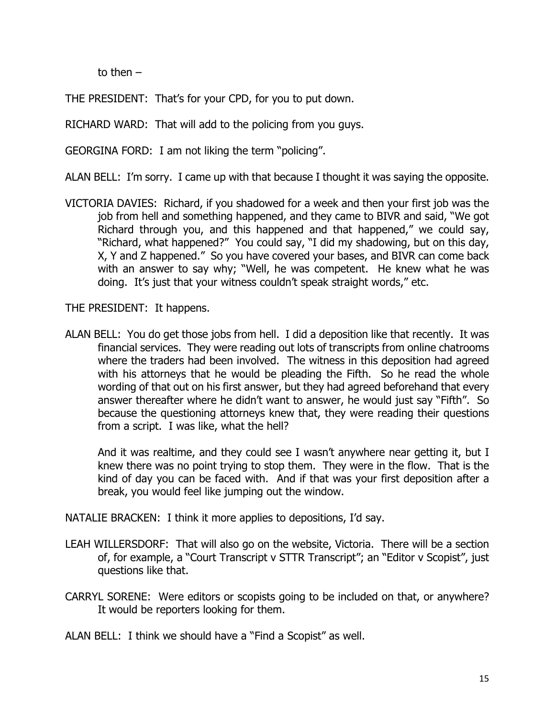to then –

THE PRESIDENT: That's for your CPD, for you to put down.

RICHARD WARD: That will add to the policing from you guys.

GEORGINA FORD: I am not liking the term "policing".

ALAN BELL: I'm sorry. I came up with that because I thought it was saying the opposite.

VICTORIA DAVIES: Richard, if you shadowed for a week and then your first job was the job from hell and something happened, and they came to BIVR and said, "We got Richard through you, and this happened and that happened," we could say, "Richard, what happened?" You could say, "I did my shadowing, but on this day, X, Y and Z happened." So you have covered your bases, and BIVR can come back with an answer to say why; "Well, he was competent. He knew what he was doing. It's just that your witness couldn't speak straight words," etc.

THE PRESIDENT: It happens.

ALAN BELL: You do get those jobs from hell. I did a deposition like that recently. It was financial services. They were reading out lots of transcripts from online chatrooms where the traders had been involved. The witness in this deposition had agreed with his attorneys that he would be pleading the Fifth. So he read the whole wording of that out on his first answer, but they had agreed beforehand that every answer thereafter where he didn't want to answer, he would just say "Fifth". So because the questioning attorneys knew that, they were reading their questions from a script. I was like, what the hell?

And it was realtime, and they could see I wasn't anywhere near getting it, but I knew there was no point trying to stop them. They were in the flow. That is the kind of day you can be faced with. And if that was your first deposition after a break, you would feel like jumping out the window.

NATALIE BRACKEN: I think it more applies to depositions, I'd say.

- LEAH WILLERSDORF: That will also go on the website, Victoria. There will be a section of, for example, a "Court Transcript v STTR Transcript"; an "Editor v Scopist", just questions like that.
- CARRYL SORENE: Were editors or scopists going to be included on that, or anywhere? It would be reporters looking for them.

ALAN BELL: I think we should have a "Find a Scopist" as well.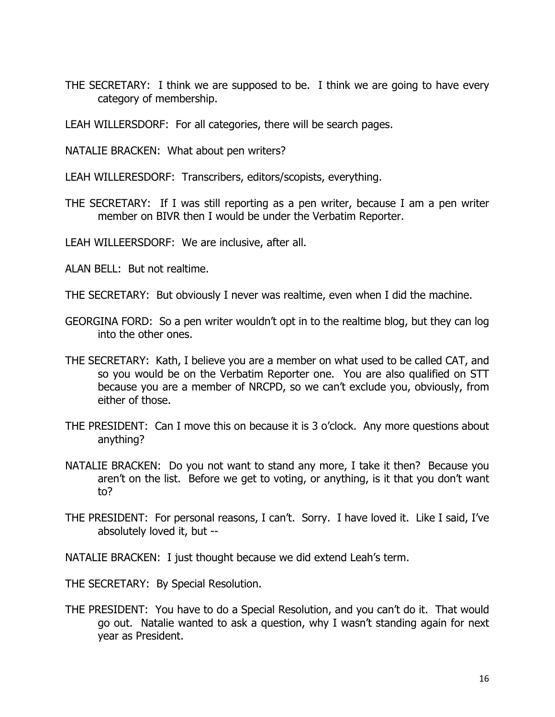- THE SECRETARY: I think we are supposed to be. I think we are going to have every category of membership.
- LEAH WILLERSDORF: For all categories, there will be search pages.
- NATALIE BRACKEN: What about pen writers?
- LEAH WILLERESDORF: Transcribers, editors/scopists, everything.
- THE SECRETARY: If I was still reporting as a pen writer, because I am a pen writer member on BIVR then I would be under the Verbatim Reporter.
- LEAH WILLEERSDORF: We are inclusive, after all.
- ALAN BELL: But not realtime.
- THE SECRETARY: But obviously I never was realtime, even when I did the machine.
- GEORGINA FORD: So a pen writer wouldn't opt in to the realtime blog, but they can log into the other ones.
- THE SECRETARY: Kath, I believe you are a member on what used to be called CAT, and so you would be on the Verbatim Reporter one. You are also qualified on STT because you are a member of NRCPD, so we can't exclude you, obviously, from either of those.
- THE PRESIDENT: Can I move this on because it is 3 o'clock. Any more questions about anything?
- NATALIE BRACKEN: Do you not want to stand any more, I take it then? Because you aren't on the list. Before we get to voting, or anything, is it that you don't want to?
- THE PRESIDENT: For personal reasons, I can't. Sorry. I have loved it. Like I said, I've absolutely loved it, but --

NATALIE BRACKEN: I just thought because we did extend Leah's term.

THE SECRETARY: By Special Resolution.

THE PRESIDENT: You have to do a Special Resolution, and you can't do it. That would go out. Natalie wanted to ask a question, why I wasn't standing again for next year as President.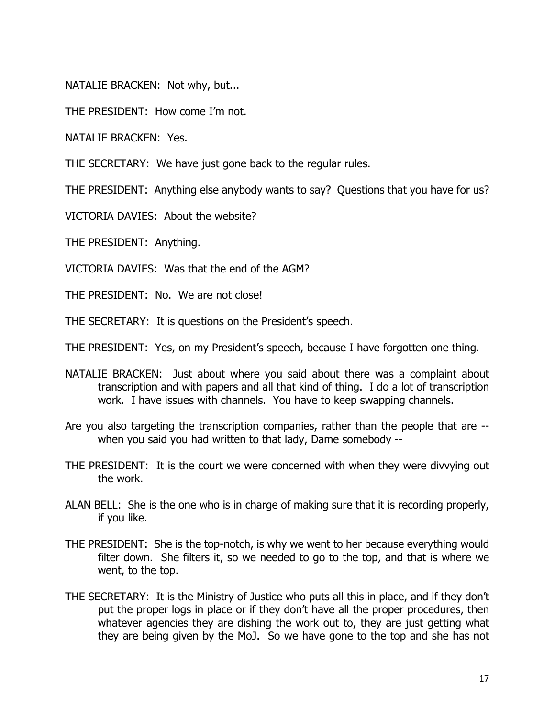NATALIE BRACKEN: Not why, but...

THE PRESIDENT: How come I'm not.

NATALIE BRACKEN: Yes.

THE SECRETARY: We have just gone back to the regular rules.

THE PRESIDENT: Anything else anybody wants to say? Questions that you have for us?

VICTORIA DAVIES: About the website?

THE PRESIDENT: Anything.

VICTORIA DAVIES: Was that the end of the AGM?

THE PRESIDENT: No. We are not close!

THE SECRETARY: It is questions on the President's speech.

THE PRESIDENT: Yes, on my President's speech, because I have forgotten one thing.

- NATALIE BRACKEN: Just about where you said about there was a complaint about transcription and with papers and all that kind of thing. I do a lot of transcription work. I have issues with channels. You have to keep swapping channels.
- Are you also targeting the transcription companies, rather than the people that are when you said you had written to that lady, Dame somebody --
- THE PRESIDENT: It is the court we were concerned with when they were divvying out the work.
- ALAN BELL: She is the one who is in charge of making sure that it is recording properly, if you like.
- THE PRESIDENT: She is the top-notch, is why we went to her because everything would filter down. She filters it, so we needed to go to the top, and that is where we went, to the top.
- THE SECRETARY: It is the Ministry of Justice who puts all this in place, and if they don't put the proper logs in place or if they don't have all the proper procedures, then whatever agencies they are dishing the work out to, they are just getting what they are being given by the MoJ. So we have gone to the top and she has not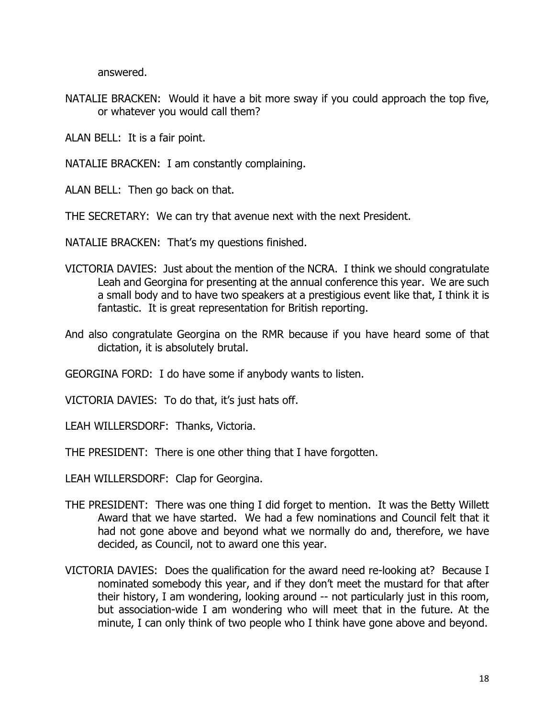answered.

- NATALIE BRACKEN: Would it have a bit more sway if you could approach the top five, or whatever you would call them?
- ALAN BELL: It is a fair point.
- NATALIE BRACKEN: I am constantly complaining.
- ALAN BELL: Then go back on that.
- THE SECRETARY: We can try that avenue next with the next President.
- NATALIE BRACKEN: That's my questions finished.
- VICTORIA DAVIES: Just about the mention of the NCRA. I think we should congratulate Leah and Georgina for presenting at the annual conference this year. We are such a small body and to have two speakers at a prestigious event like that, I think it is fantastic. It is great representation for British reporting.
- And also congratulate Georgina on the RMR because if you have heard some of that dictation, it is absolutely brutal.

GEORGINA FORD: I do have some if anybody wants to listen.

VICTORIA DAVIES: To do that, it's just hats off.

LEAH WILLERSDORF: Thanks, Victoria.

THE PRESIDENT: There is one other thing that I have forgotten.

LEAH WILLERSDORF: Clap for Georgina.

- THE PRESIDENT: There was one thing I did forget to mention. It was the Betty Willett Award that we have started. We had a few nominations and Council felt that it had not gone above and beyond what we normally do and, therefore, we have decided, as Council, not to award one this year.
- VICTORIA DAVIES: Does the qualification for the award need re-looking at? Because I nominated somebody this year, and if they don't meet the mustard for that after their history, I am wondering, looking around -- not particularly just in this room, but association-wide I am wondering who will meet that in the future. At the minute, I can only think of two people who I think have gone above and beyond.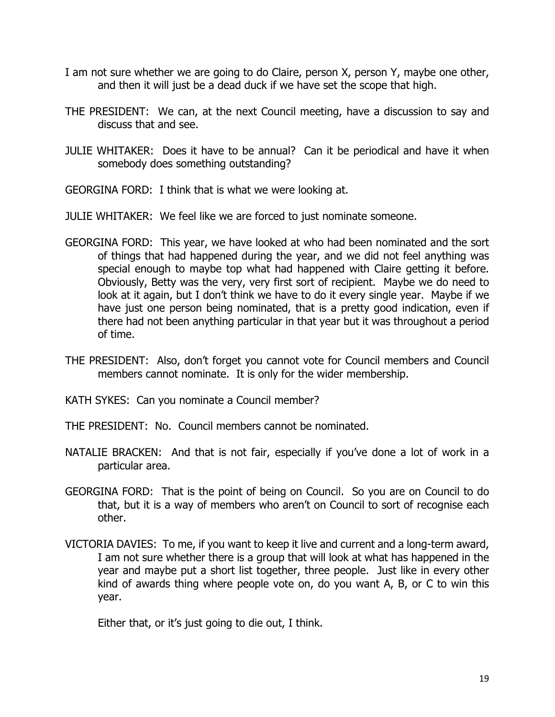- I am not sure whether we are going to do Claire, person X, person Y, maybe one other, and then it will just be a dead duck if we have set the scope that high.
- THE PRESIDENT: We can, at the next Council meeting, have a discussion to say and discuss that and see.
- JULIE WHITAKER: Does it have to be annual? Can it be periodical and have it when somebody does something outstanding?
- GEORGINA FORD: I think that is what we were looking at.
- JULIE WHITAKER: We feel like we are forced to just nominate someone.
- GEORGINA FORD: This year, we have looked at who had been nominated and the sort of things that had happened during the year, and we did not feel anything was special enough to maybe top what had happened with Claire getting it before. Obviously, Betty was the very, very first sort of recipient. Maybe we do need to look at it again, but I don't think we have to do it every single year. Maybe if we have just one person being nominated, that is a pretty good indication, even if there had not been anything particular in that year but it was throughout a period of time.
- THE PRESIDENT: Also, don't forget you cannot vote for Council members and Council members cannot nominate. It is only for the wider membership.
- KATH SYKES: Can you nominate a Council member?
- THE PRESIDENT: No. Council members cannot be nominated.
- NATALIE BRACKEN: And that is not fair, especially if you've done a lot of work in a particular area.
- GEORGINA FORD: That is the point of being on Council. So you are on Council to do that, but it is a way of members who aren't on Council to sort of recognise each other.
- VICTORIA DAVIES: To me, if you want to keep it live and current and a long-term award, I am not sure whether there is a group that will look at what has happened in the year and maybe put a short list together, three people. Just like in every other kind of awards thing where people vote on, do you want A, B, or C to win this year.
	- Either that, or it's just going to die out, I think.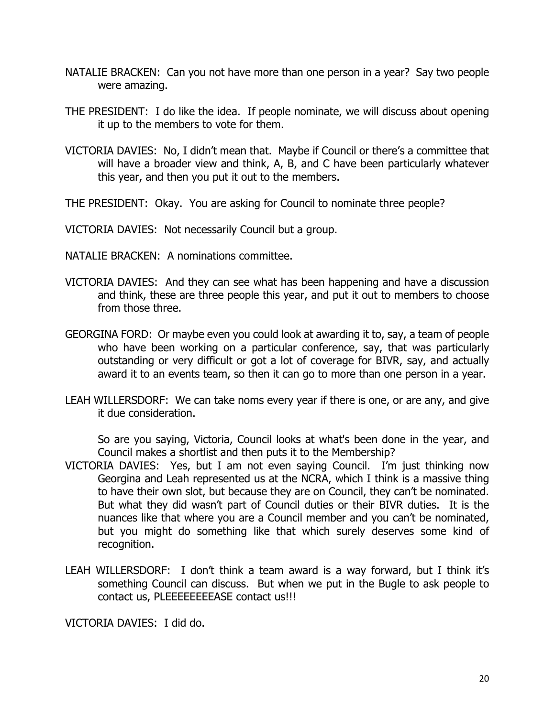- NATALIE BRACKEN: Can you not have more than one person in a year? Say two people were amazing.
- THE PRESIDENT: I do like the idea. If people nominate, we will discuss about opening it up to the members to vote for them.
- VICTORIA DAVIES: No, I didn't mean that. Maybe if Council or there's a committee that will have a broader view and think, A, B, and C have been particularly whatever this year, and then you put it out to the members.
- THE PRESIDENT: Okay. You are asking for Council to nominate three people?

VICTORIA DAVIES: Not necessarily Council but a group.

- NATALIE BRACKEN: A nominations committee.
- VICTORIA DAVIES: And they can see what has been happening and have a discussion and think, these are three people this year, and put it out to members to choose from those three.
- GEORGINA FORD: Or maybe even you could look at awarding it to, say, a team of people who have been working on a particular conference, say, that was particularly outstanding or very difficult or got a lot of coverage for BIVR, say, and actually award it to an events team, so then it can go to more than one person in a year.
- LEAH WILLERSDORF: We can take noms every year if there is one, or are any, and give it due consideration.

So are you saying, Victoria, Council looks at what's been done in the year, and Council makes a shortlist and then puts it to the Membership?

- VICTORIA DAVIES: Yes, but I am not even saying Council. I'm just thinking now Georgina and Leah represented us at the NCRA, which I think is a massive thing to have their own slot, but because they are on Council, they can't be nominated. But what they did wasn't part of Council duties or their BIVR duties. It is the nuances like that where you are a Council member and you can't be nominated, but you might do something like that which surely deserves some kind of recognition.
- LEAH WILLERSDORF: I don't think a team award is a way forward, but I think it's something Council can discuss. But when we put in the Bugle to ask people to contact us, PLEEEEEEEEASE contact us!!!

VICTORIA DAVIES: I did do.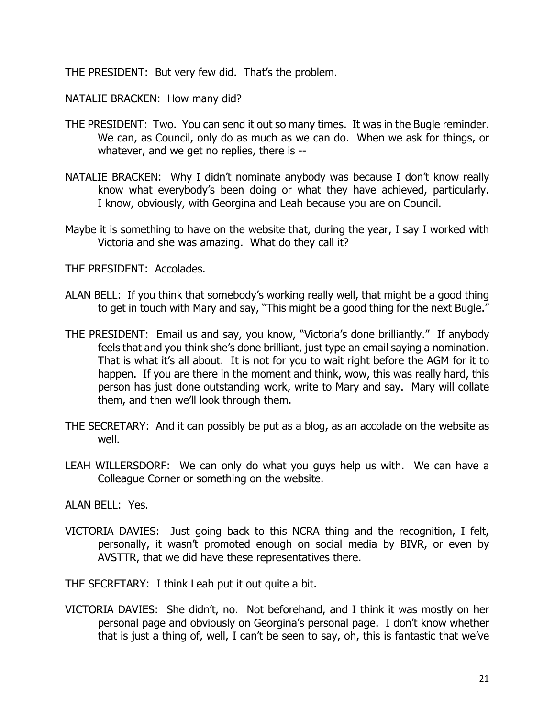THE PRESIDENT: But very few did. That's the problem.

NATALIE BRACKEN: How many did?

- THE PRESIDENT: Two. You can send it out so many times. It was in the Bugle reminder. We can, as Council, only do as much as we can do. When we ask for things, or whatever, and we get no replies, there is --
- NATALIE BRACKEN: Why I didn't nominate anybody was because I don't know really know what everybody's been doing or what they have achieved, particularly. I know, obviously, with Georgina and Leah because you are on Council.
- Maybe it is something to have on the website that, during the year, I say I worked with Victoria and she was amazing. What do they call it?

THE PRESIDENT: Accolades.

- ALAN BELL: If you think that somebody's working really well, that might be a good thing to get in touch with Mary and say, "This might be a good thing for the next Bugle."
- THE PRESIDENT: Email us and say, you know, "Victoria's done brilliantly." If anybody feels that and you think she's done brilliant, just type an email saying a nomination. That is what it's all about. It is not for you to wait right before the AGM for it to happen. If you are there in the moment and think, wow, this was really hard, this person has just done outstanding work, write to Mary and say. Mary will collate them, and then we'll look through them.
- THE SECRETARY: And it can possibly be put as a blog, as an accolade on the website as well.
- LEAH WILLERSDORF: We can only do what you guys help us with. We can have a Colleague Corner or something on the website.
- ALAN BELL: Yes.
- VICTORIA DAVIES: Just going back to this NCRA thing and the recognition, I felt, personally, it wasn't promoted enough on social media by BIVR, or even by AVSTTR, that we did have these representatives there.

THE SECRETARY: I think Leah put it out quite a bit.

VICTORIA DAVIES: She didn't, no. Not beforehand, and I think it was mostly on her personal page and obviously on Georgina's personal page. I don't know whether that is just a thing of, well, I can't be seen to say, oh, this is fantastic that we've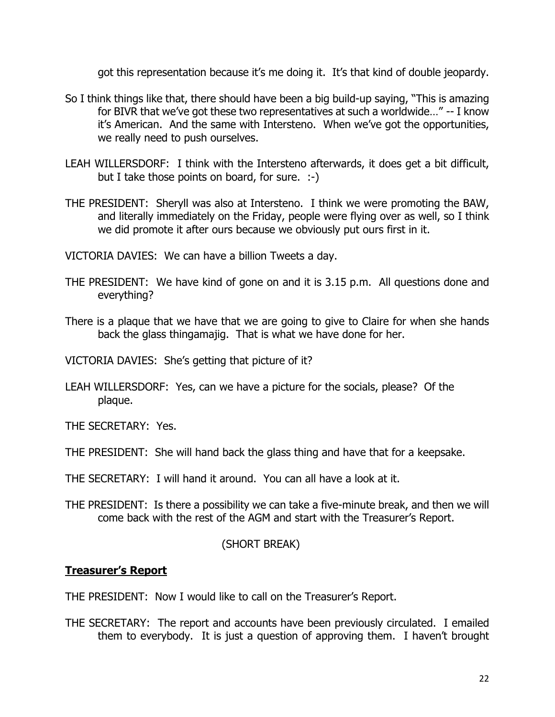got this representation because it's me doing it. It's that kind of double jeopardy.

- So I think things like that, there should have been a big build-up saying, "This is amazing for BIVR that we've got these two representatives at such a worldwide…" -- I know it's American. And the same with Intersteno. When we've got the opportunities, we really need to push ourselves.
- LEAH WILLERSDORF: I think with the Intersteno afterwards, it does get a bit difficult, but I take those points on board, for sure. :-)
- THE PRESIDENT: Sheryll was also at Intersteno. I think we were promoting the BAW, and literally immediately on the Friday, people were flying over as well, so I think we did promote it after ours because we obviously put ours first in it.

VICTORIA DAVIES: We can have a billion Tweets a day.

- THE PRESIDENT: We have kind of gone on and it is 3.15 p.m. All questions done and everything?
- There is a plaque that we have that we are going to give to Claire for when she hands back the glass thingamajig. That is what we have done for her.

VICTORIA DAVIES: She's getting that picture of it?

LEAH WILLERSDORF: Yes, can we have a picture for the socials, please? Of the plaque.

THE SECRETARY: Yes.

THE PRESIDENT: She will hand back the glass thing and have that for a keepsake.

THE SECRETARY: I will hand it around. You can all have a look at it.

THE PRESIDENT: Is there a possibility we can take a five-minute break, and then we will come back with the rest of the AGM and start with the Treasurer's Report.

#### (SHORT BREAK)

#### **Treasurer's Report**

THE PRESIDENT: Now I would like to call on the Treasurer's Report.

THE SECRETARY: The report and accounts have been previously circulated. I emailed them to everybody. It is just a question of approving them. I haven't brought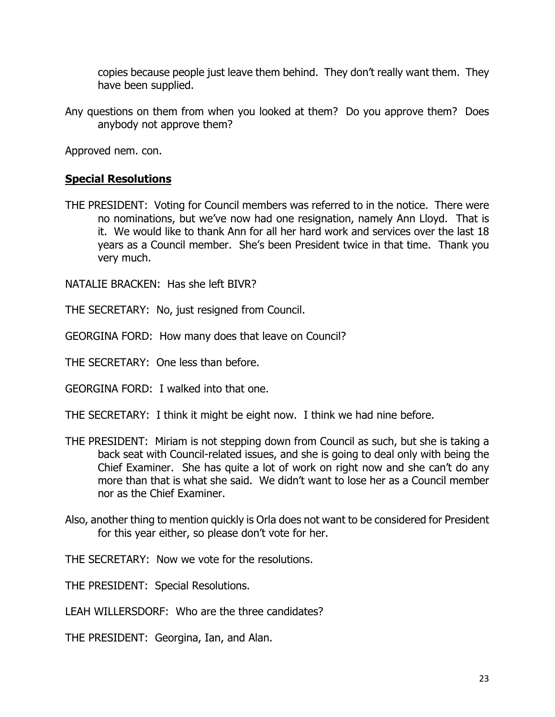copies because people just leave them behind. They don't really want them. They have been supplied.

Any questions on them from when you looked at them? Do you approve them? Does anybody not approve them?

Approved nem. con.

## **Special Resolutions**

THE PRESIDENT: Voting for Council members was referred to in the notice. There were no nominations, but we've now had one resignation, namely Ann Lloyd. That is it. We would like to thank Ann for all her hard work and services over the last 18 years as a Council member. She's been President twice in that time. Thank you very much.

NATALIE BRACKEN: Has she left BIVR?

THE SECRETARY: No, just resigned from Council.

GEORGINA FORD: How many does that leave on Council?

THE SECRETARY: One less than before.

GEORGINA FORD: I walked into that one.

THE SECRETARY: I think it might be eight now. I think we had nine before.

- THE PRESIDENT: Miriam is not stepping down from Council as such, but she is taking a back seat with Council-related issues, and she is going to deal only with being the Chief Examiner. She has quite a lot of work on right now and she can't do any more than that is what she said. We didn't want to lose her as a Council member nor as the Chief Examiner.
- Also, another thing to mention quickly is Orla does not want to be considered for President for this year either, so please don't vote for her.

THE SECRETARY: Now we vote for the resolutions.

THE PRESIDENT: Special Resolutions.

LEAH WILLERSDORF: Who are the three candidates?

THE PRESIDENT: Georgina, Ian, and Alan.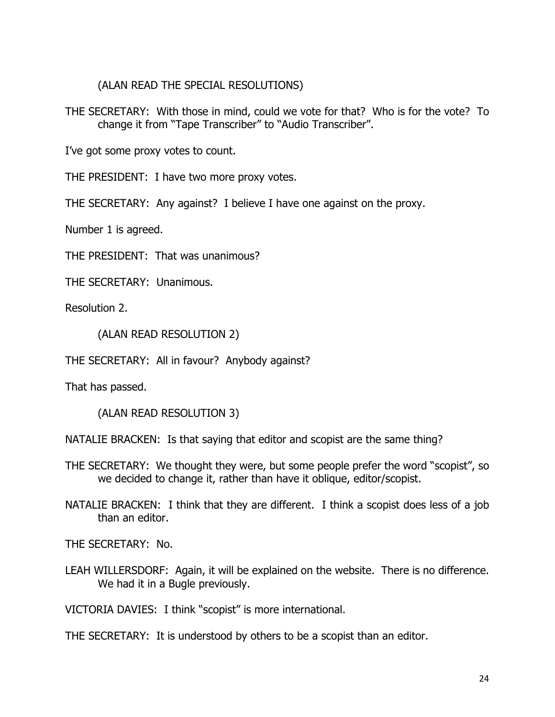(ALAN READ THE SPECIAL RESOLUTIONS)

THE SECRETARY: With those in mind, could we vote for that? Who is for the vote? To change it from "Tape Transcriber" to "Audio Transcriber".

I've got some proxy votes to count.

THE PRESIDENT: I have two more proxy votes.

THE SECRETARY: Any against? I believe I have one against on the proxy.

Number 1 is agreed.

THE PRESIDENT: That was unanimous?

THE SECRETARY: Unanimous.

Resolution 2.

(ALAN READ RESOLUTION 2)

THE SECRETARY: All in favour? Anybody against?

That has passed.

(ALAN READ RESOLUTION 3)

NATALIE BRACKEN: Is that saying that editor and scopist are the same thing?

- THE SECRETARY: We thought they were, but some people prefer the word "scopist", so we decided to change it, rather than have it oblique, editor/scopist.
- NATALIE BRACKEN: I think that they are different. I think a scopist does less of a job than an editor.

THE SECRETARY: No.

LEAH WILLERSDORF: Again, it will be explained on the website. There is no difference. We had it in a Bugle previously.

VICTORIA DAVIES: I think "scopist" is more international.

THE SECRETARY: It is understood by others to be a scopist than an editor.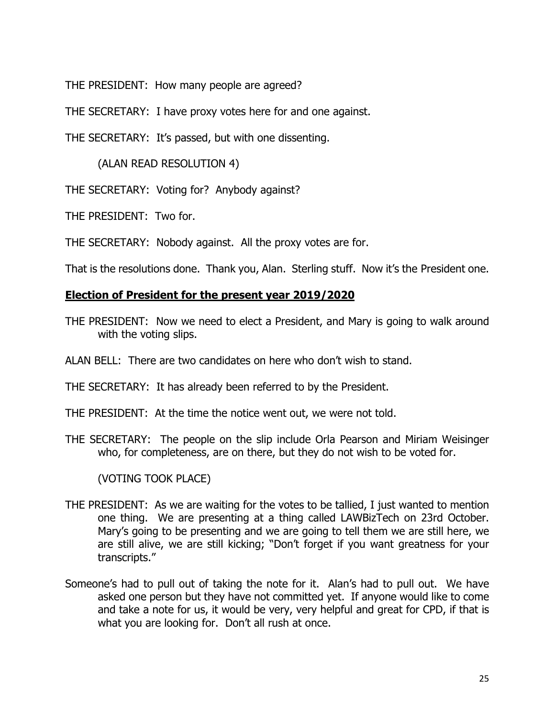THE PRESIDENT: How many people are agreed?

THE SECRETARY: I have proxy votes here for and one against.

THE SECRETARY: It's passed, but with one dissenting.

(ALAN READ RESOLUTION 4)

THE SECRETARY: Voting for? Anybody against?

THE PRESIDENT: Two for.

THE SECRETARY: Nobody against. All the proxy votes are for.

That is the resolutions done. Thank you, Alan. Sterling stuff. Now it's the President one.

## **Election of President for the present year 2019/2020**

- THE PRESIDENT: Now we need to elect a President, and Mary is going to walk around with the voting slips.
- ALAN BELL: There are two candidates on here who don't wish to stand.

THE SECRETARY: It has already been referred to by the President.

THE PRESIDENT: At the time the notice went out, we were not told.

THE SECRETARY: The people on the slip include Orla Pearson and Miriam Weisinger who, for completeness, are on there, but they do not wish to be voted for.

(VOTING TOOK PLACE)

- THE PRESIDENT: As we are waiting for the votes to be tallied, I just wanted to mention one thing. We are presenting at a thing called LAWBizTech on 23rd October. Mary's going to be presenting and we are going to tell them we are still here, we are still alive, we are still kicking; "Don't forget if you want greatness for your transcripts."
- Someone's had to pull out of taking the note for it. Alan's had to pull out. We have asked one person but they have not committed yet. If anyone would like to come and take a note for us, it would be very, very helpful and great for CPD, if that is what you are looking for. Don't all rush at once.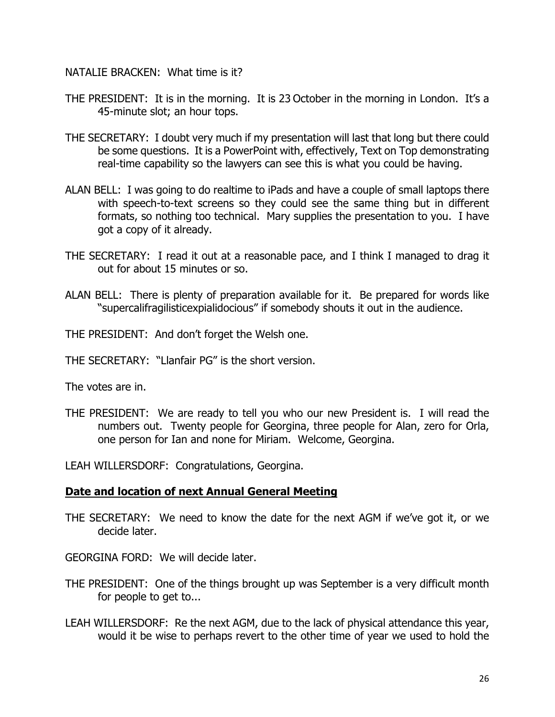NATALIE BRACKEN: What time is it?

- THE PRESIDENT: It is in the morning. It is 23 October in the morning in London. It's a 45-minute slot; an hour tops.
- THE SECRETARY: I doubt very much if my presentation will last that long but there could be some questions. It is a PowerPoint with, effectively, Text on Top demonstrating real-time capability so the lawyers can see this is what you could be having.
- ALAN BELL: I was going to do realtime to iPads and have a couple of small laptops there with speech-to-text screens so they could see the same thing but in different formats, so nothing too technical. Mary supplies the presentation to you. I have got a copy of it already.
- THE SECRETARY: I read it out at a reasonable pace, and I think I managed to drag it out for about 15 minutes or so.
- ALAN BELL: There is plenty of preparation available for it. Be prepared for words like "supercalifragilisticexpialidocious" if somebody shouts it out in the audience.
- THE PRESIDENT: And don't forget the Welsh one.
- THE SECRETARY: "Llanfair PG" is the short version.

The votes are in.

THE PRESIDENT: We are ready to tell you who our new President is. I will read the numbers out. Twenty people for Georgina, three people for Alan, zero for Orla, one person for Ian and none for Miriam. Welcome, Georgina.

LEAH WILLERSDORF: Congratulations, Georgina.

#### **Date and location of next Annual General Meeting**

THE SECRETARY: We need to know the date for the next AGM if we've got it, or we decide later.

GEORGINA FORD: We will decide later.

- THE PRESIDENT: One of the things brought up was September is a very difficult month for people to get to...
- LEAH WILLERSDORF: Re the next AGM, due to the lack of physical attendance this year, would it be wise to perhaps revert to the other time of year we used to hold the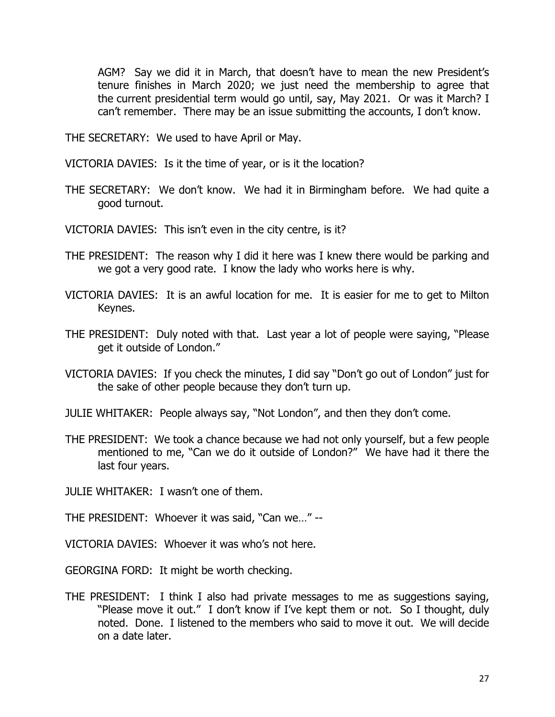AGM? Say we did it in March, that doesn't have to mean the new President's tenure finishes in March 2020; we just need the membership to agree that the current presidential term would go until, say, May 2021. Or was it March? I can't remember. There may be an issue submitting the accounts, I don't know.

THE SECRETARY: We used to have April or May.

VICTORIA DAVIES: Is it the time of year, or is it the location?

- THE SECRETARY: We don't know. We had it in Birmingham before. We had quite a good turnout.
- VICTORIA DAVIES: This isn't even in the city centre, is it?
- THE PRESIDENT: The reason why I did it here was I knew there would be parking and we got a very good rate. I know the lady who works here is why.
- VICTORIA DAVIES: It is an awful location for me. It is easier for me to get to Milton Keynes.
- THE PRESIDENT: Duly noted with that. Last year a lot of people were saying, "Please get it outside of London."
- VICTORIA DAVIES: If you check the minutes, I did say "Don't go out of London" just for the sake of other people because they don't turn up.
- JULIE WHITAKER: People always say, "Not London", and then they don't come.
- THE PRESIDENT: We took a chance because we had not only yourself, but a few people mentioned to me, "Can we do it outside of London?" We have had it there the last four years.

JULIE WHITAKER: I wasn't one of them.

THE PRESIDENT: Whoever it was said, "Can we…" --

VICTORIA DAVIES: Whoever it was who's not here.

GEORGINA FORD: It might be worth checking.

THE PRESIDENT: I think I also had private messages to me as suggestions saying, "Please move it out." I don't know if I've kept them or not. So I thought, duly noted. Done. I listened to the members who said to move it out. We will decide on a date later.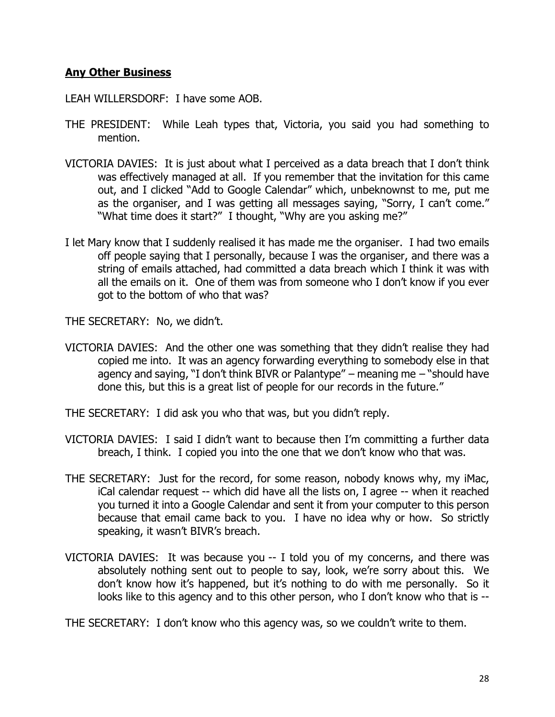## **Any Other Business**

LEAH WILLERSDORF: I have some AOB.

- THE PRESIDENT: While Leah types that, Victoria, you said you had something to mention.
- VICTORIA DAVIES: It is just about what I perceived as a data breach that I don't think was effectively managed at all. If you remember that the invitation for this came out, and I clicked "Add to Google Calendar" which, unbeknownst to me, put me as the organiser, and I was getting all messages saying, "Sorry, I can't come." "What time does it start?" I thought, "Why are you asking me?"
- I let Mary know that I suddenly realised it has made me the organiser. I had two emails off people saying that I personally, because I was the organiser, and there was a string of emails attached, had committed a data breach which I think it was with all the emails on it. One of them was from someone who I don't know if you ever got to the bottom of who that was?

THE SECRETARY: No, we didn't.

VICTORIA DAVIES: And the other one was something that they didn't realise they had copied me into. It was an agency forwarding everything to somebody else in that agency and saying, "I don't think BIVR or Palantype" – meaning me – "should have done this, but this is a great list of people for our records in the future."

THE SECRETARY: I did ask you who that was, but you didn't reply.

- VICTORIA DAVIES: I said I didn't want to because then I'm committing a further data breach, I think. I copied you into the one that we don't know who that was.
- THE SECRETARY: Just for the record, for some reason, nobody knows why, my iMac, iCal calendar request -- which did have all the lists on, I agree -- when it reached you turned it into a Google Calendar and sent it from your computer to this person because that email came back to you. I have no idea why or how. So strictly speaking, it wasn't BIVR's breach.
- VICTORIA DAVIES: It was because you -- I told you of my concerns, and there was absolutely nothing sent out to people to say, look, we're sorry about this. We don't know how it's happened, but it's nothing to do with me personally. So it looks like to this agency and to this other person, who I don't know who that is --

THE SECRETARY: I don't know who this agency was, so we couldn't write to them.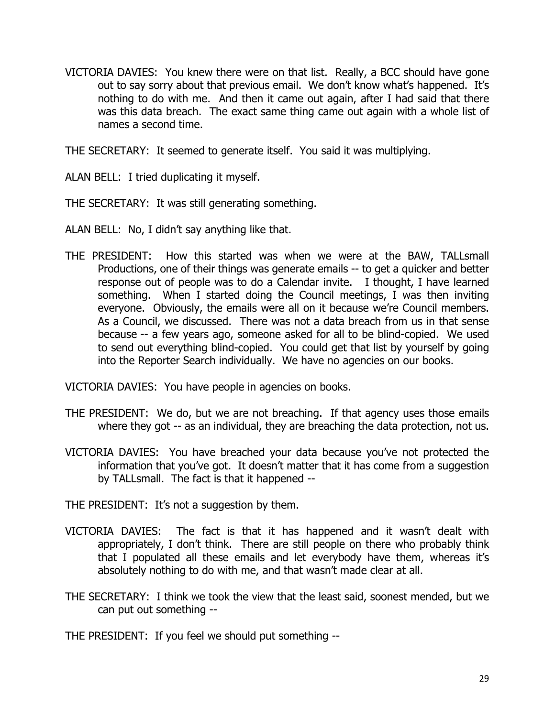VICTORIA DAVIES: You knew there were on that list. Really, a BCC should have gone out to say sorry about that previous email. We don't know what's happened. It's nothing to do with me. And then it came out again, after I had said that there was this data breach. The exact same thing came out again with a whole list of names a second time.

THE SECRETARY: It seemed to generate itself. You said it was multiplying.

ALAN BELL: I tried duplicating it myself.

THE SECRETARY: It was still generating something.

ALAN BELL: No, I didn't say anything like that.

THE PRESIDENT: How this started was when we were at the BAW, TALLsmall Productions, one of their things was generate emails -- to get a quicker and better response out of people was to do a Calendar invite. I thought, I have learned something. When I started doing the Council meetings, I was then inviting everyone. Obviously, the emails were all on it because we're Council members. As a Council, we discussed. There was not a data breach from us in that sense because -- a few years ago, someone asked for all to be blind-copied. We used to send out everything blind-copied. You could get that list by yourself by going into the Reporter Search individually. We have no agencies on our books.

VICTORIA DAVIES: You have people in agencies on books.

- THE PRESIDENT: We do, but we are not breaching. If that agency uses those emails where they got -- as an individual, they are breaching the data protection, not us.
- VICTORIA DAVIES: You have breached your data because you've not protected the information that you've got. It doesn't matter that it has come from a suggestion by TALLsmall. The fact is that it happened --

THE PRESIDENT: It's not a suggestion by them.

- VICTORIA DAVIES: The fact is that it has happened and it wasn't dealt with appropriately, I don't think. There are still people on there who probably think that I populated all these emails and let everybody have them, whereas it's absolutely nothing to do with me, and that wasn't made clear at all.
- THE SECRETARY: I think we took the view that the least said, soonest mended, but we can put out something --

THE PRESIDENT: If you feel we should put something --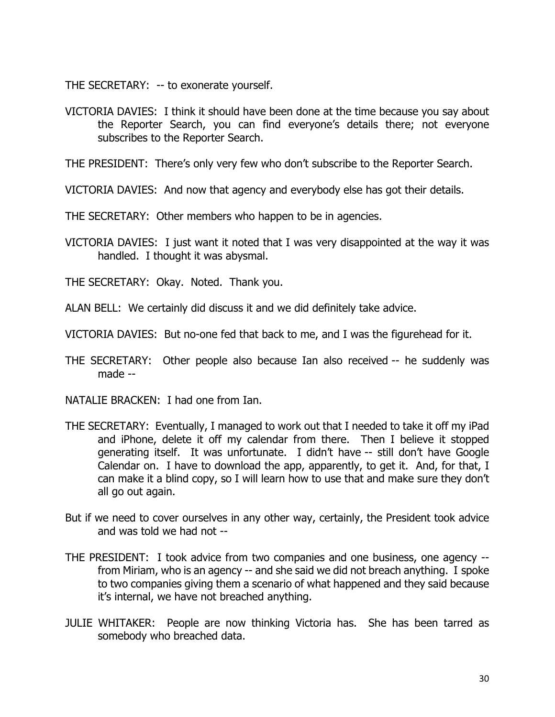THE SECRETARY: -- to exonerate yourself.

VICTORIA DAVIES: I think it should have been done at the time because you say about the Reporter Search, you can find everyone's details there; not everyone subscribes to the Reporter Search.

THE PRESIDENT: There's only very few who don't subscribe to the Reporter Search.

VICTORIA DAVIES: And now that agency and everybody else has got their details.

THE SECRETARY: Other members who happen to be in agencies.

VICTORIA DAVIES: I just want it noted that I was very disappointed at the way it was handled. I thought it was abysmal.

THE SECRETARY: Okay. Noted. Thank you.

ALAN BELL: We certainly did discuss it and we did definitely take advice.

VICTORIA DAVIES: But no-one fed that back to me, and I was the figurehead for it.

THE SECRETARY: Other people also because Ian also received -- he suddenly was made --

NATALIE BRACKEN: I had one from Ian.

- THE SECRETARY: Eventually, I managed to work out that I needed to take it off my iPad and iPhone, delete it off my calendar from there. Then I believe it stopped generating itself. It was unfortunate. I didn't have -- still don't have Google Calendar on. I have to download the app, apparently, to get it. And, for that, I can make it a blind copy, so I will learn how to use that and make sure they don't all go out again.
- But if we need to cover ourselves in any other way, certainly, the President took advice and was told we had not --
- THE PRESIDENT: I took advice from two companies and one business, one agency from Miriam, who is an agency -- and she said we did not breach anything. I spoke to two companies giving them a scenario of what happened and they said because it's internal, we have not breached anything.
- JULIE WHITAKER: People are now thinking Victoria has. She has been tarred as somebody who breached data.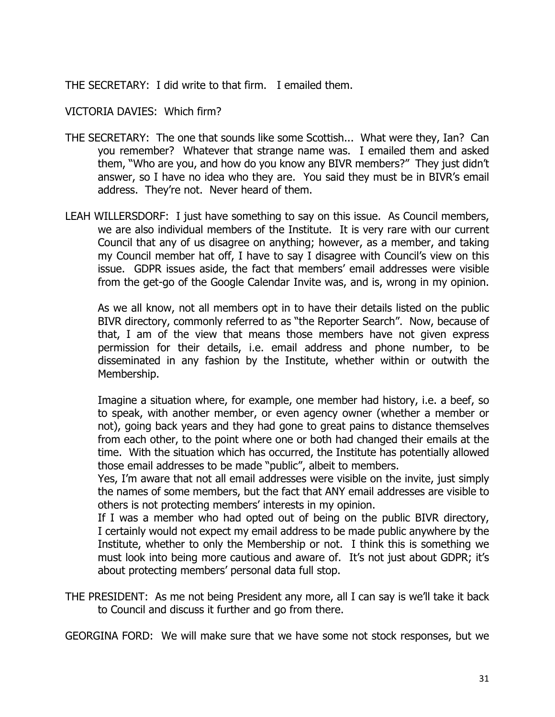THE SECRETARY: I did write to that firm. I emailed them.

VICTORIA DAVIES: Which firm?

- THE SECRETARY: The one that sounds like some Scottish... What were they, Ian? Can you remember? Whatever that strange name was. I emailed them and asked them, "Who are you, and how do you know any BIVR members?" They just didn't answer, so I have no idea who they are. You said they must be in BIVR's email address. They're not. Never heard of them.
- LEAH WILLERSDORF: I just have something to say on this issue. As Council members, we are also individual members of the Institute. It is very rare with our current Council that any of us disagree on anything; however, as a member, and taking my Council member hat off, I have to say I disagree with Council's view on this issue. GDPR issues aside, the fact that members' email addresses were visible from the get-go of the Google Calendar Invite was, and is, wrong in my opinion.

As we all know, not all members opt in to have their details listed on the public BIVR directory, commonly referred to as "the Reporter Search". Now, because of that, I am of the view that means those members have not given express permission for their details, i.e. email address and phone number, to be disseminated in any fashion by the Institute, whether within or outwith the Membership.

Imagine a situation where, for example, one member had history, i.e. a beef, so to speak, with another member, or even agency owner (whether a member or not), going back years and they had gone to great pains to distance themselves from each other, to the point where one or both had changed their emails at the time. With the situation which has occurred, the Institute has potentially allowed those email addresses to be made "public", albeit to members.

Yes, I'm aware that not all email addresses were visible on the invite, just simply the names of some members, but the fact that ANY email addresses are visible to others is not protecting members' interests in my opinion.

If I was a member who had opted out of being on the public BIVR directory, I certainly would not expect my email address to be made public anywhere by the Institute, whether to only the Membership or not. I think this is something we must look into being more cautious and aware of. It's not just about GDPR; it's about protecting members' personal data full stop.

THE PRESIDENT: As me not being President any more, all I can say is we'll take it back to Council and discuss it further and go from there.

GEORGINA FORD: We will make sure that we have some not stock responses, but we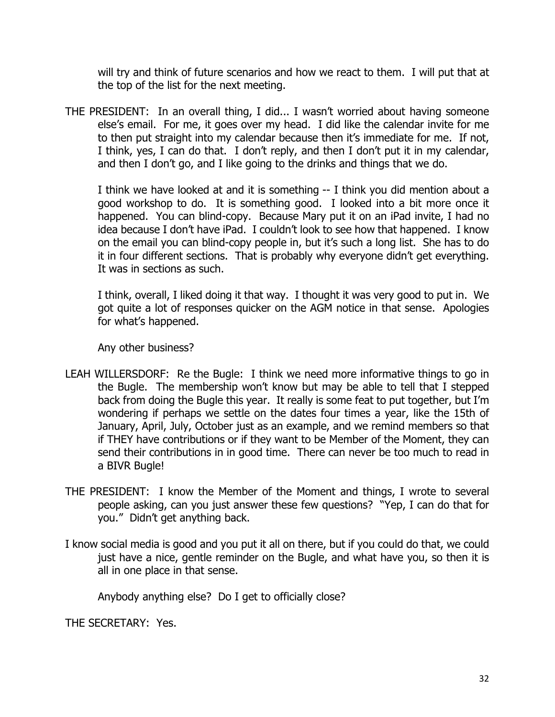will try and think of future scenarios and how we react to them. I will put that at the top of the list for the next meeting.

THE PRESIDENT: In an overall thing, I did... I wasn't worried about having someone else's email. For me, it goes over my head. I did like the calendar invite for me to then put straight into my calendar because then it's immediate for me. If not, I think, yes, I can do that. I don't reply, and then I don't put it in my calendar, and then I don't go, and I like going to the drinks and things that we do.

I think we have looked at and it is something -- I think you did mention about a good workshop to do. It is something good. I looked into a bit more once it happened. You can blind-copy. Because Mary put it on an iPad invite, I had no idea because I don't have iPad. I couldn't look to see how that happened. I know on the email you can blind-copy people in, but it's such a long list. She has to do it in four different sections. That is probably why everyone didn't get everything. It was in sections as such.

I think, overall, I liked doing it that way. I thought it was very good to put in. We got quite a lot of responses quicker on the AGM notice in that sense. Apologies for what's happened.

Any other business?

- LEAH WILLERSDORF: Re the Bugle: I think we need more informative things to go in the Bugle. The membership won't know but may be able to tell that I stepped back from doing the Bugle this year. It really is some feat to put together, but I'm wondering if perhaps we settle on the dates four times a year, like the 15th of January, April, July, October just as an example, and we remind members so that if THEY have contributions or if they want to be Member of the Moment, they can send their contributions in in good time. There can never be too much to read in a BIVR Bugle!
- THE PRESIDENT: I know the Member of the Moment and things, I wrote to several people asking, can you just answer these few questions? "Yep, I can do that for you." Didn't get anything back.
- I know social media is good and you put it all on there, but if you could do that, we could just have a nice, gentle reminder on the Bugle, and what have you, so then it is all in one place in that sense.

Anybody anything else? Do I get to officially close?

THE SECRETARY: Yes.